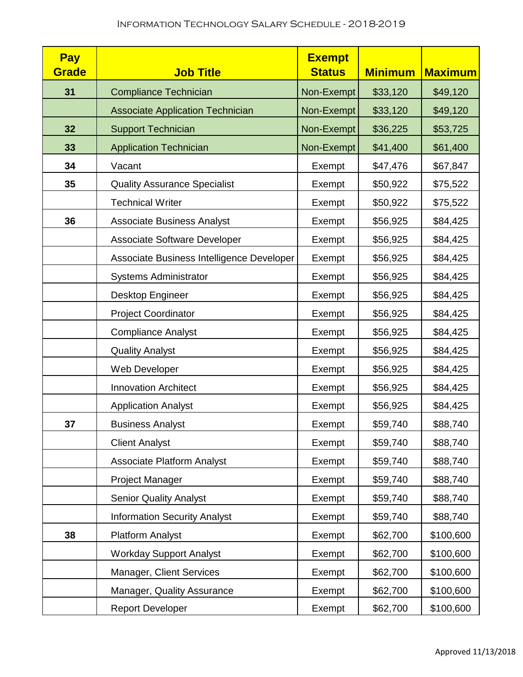| <b>Pay</b><br>Grade | <b>Job Title</b>                          | <b>Exempt</b><br><b>Status</b> | <b>Minimum</b> | <b>Maximum</b> |
|---------------------|-------------------------------------------|--------------------------------|----------------|----------------|
| 31                  | <b>Compliance Technician</b>              | Non-Exempt                     | \$33,120       | \$49,120       |
|                     | <b>Associate Application Technician</b>   | Non-Exempt                     | \$33,120       | \$49,120       |
| 32 <sub>2</sub>     | <b>Support Technician</b>                 | Non-Exempt                     | \$36,225       | \$53,725       |
| 33                  | <b>Application Technician</b>             | Non-Exempt                     | \$41,400       | \$61,400       |
| 34                  | Vacant                                    | Exempt                         | \$47,476       | \$67,847       |
| 35                  | <b>Quality Assurance Specialist</b>       | Exempt                         | \$50,922       | \$75,522       |
|                     | <b>Technical Writer</b>                   | Exempt                         | \$50,922       | \$75,522       |
| 36                  | <b>Associate Business Analyst</b>         | Exempt                         | \$56,925       | \$84,425       |
|                     | <b>Associate Software Developer</b>       | Exempt                         | \$56,925       | \$84,425       |
|                     | Associate Business Intelligence Developer | Exempt                         | \$56,925       | \$84,425       |
|                     | <b>Systems Administrator</b>              | Exempt                         | \$56,925       | \$84,425       |
|                     | Desktop Engineer                          | Exempt                         | \$56,925       | \$84,425       |
|                     | <b>Project Coordinator</b>                | Exempt                         | \$56,925       | \$84,425       |
|                     | <b>Compliance Analyst</b>                 | Exempt                         | \$56,925       | \$84,425       |
|                     | <b>Quality Analyst</b>                    | Exempt                         | \$56,925       | \$84,425       |
|                     | Web Developer                             | Exempt                         | \$56,925       | \$84,425       |
|                     | <b>Innovation Architect</b>               | Exempt                         | \$56,925       | \$84,425       |
|                     | <b>Application Analyst</b>                | Exempt                         | \$56,925       | \$84,425       |
| 37                  | <b>Business Analyst</b>                   | Exempt                         | \$59,740       | \$88,740       |
|                     | <b>Client Analyst</b>                     | Exempt                         | \$59,740       | \$88,740       |
|                     | <b>Associate Platform Analyst</b>         | Exempt                         | \$59,740       | \$88,740       |
|                     | Project Manager                           | Exempt                         | \$59,740       | \$88,740       |
|                     | <b>Senior Quality Analyst</b>             | Exempt                         | \$59,740       | \$88,740       |
|                     | <b>Information Security Analyst</b>       | Exempt                         | \$59,740       | \$88,740       |
| 38                  | <b>Platform Analyst</b>                   | Exempt                         | \$62,700       | \$100,600      |
|                     | <b>Workday Support Analyst</b>            | Exempt                         | \$62,700       | \$100,600      |
|                     | Manager, Client Services                  | Exempt                         | \$62,700       | \$100,600      |
|                     | Manager, Quality Assurance                | Exempt                         | \$62,700       | \$100,600      |
|                     | <b>Report Developer</b>                   | Exempt                         | \$62,700       | \$100,600      |